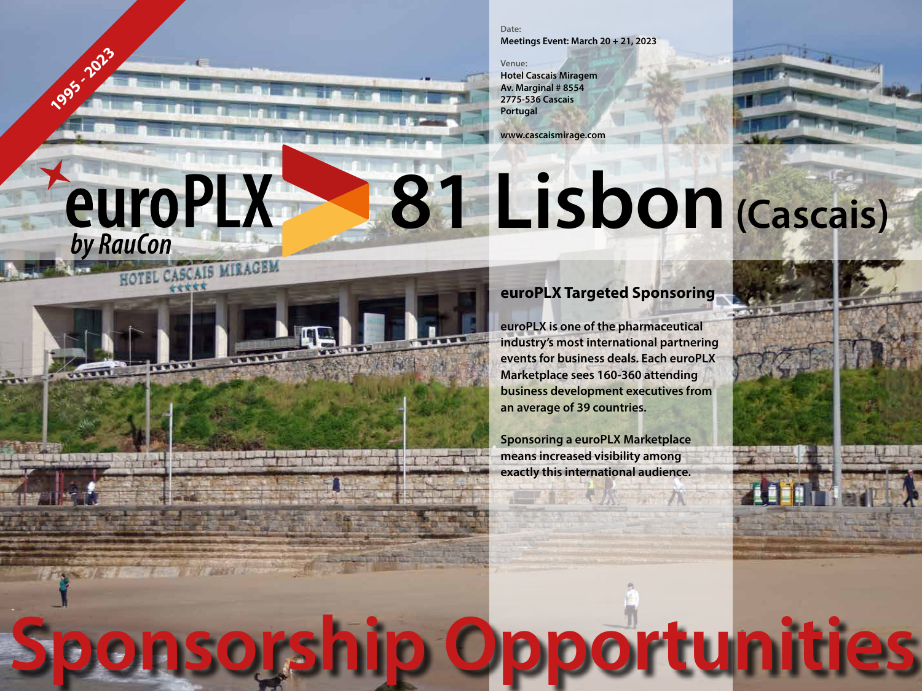**Date: Meetings Event: March 20 + 21, 2023**

**Venue: Hotel Cascais Miragem Av. Marginal # 8554 2775-536 Cascais Portugal**

**1995 - 2023**

*<u>euroPLX</u>* 

HOTEL CASCAIS MIRAGEM

**www.cascaismirage.com**

# **81 Lisbon (Cascais)**

**Sponsorship Opportunities**

# **euroPLX Targeted Sponsoring**

**euroPLX is one of the pharmaceutical industry's most international partnering events for business deals. Each euroPLX Marketplace sees 160-360 attending business development executives from an average of 39 countries.**

**Sponsoring a euroPLX Marketplace means increased visibility among exactly this international audience.**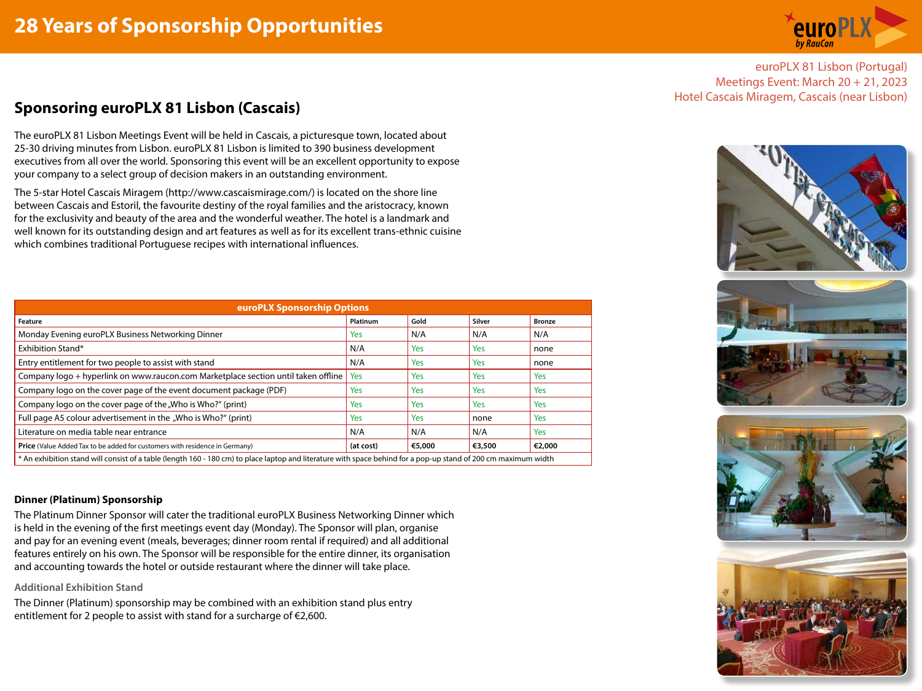

euroPLX 81 Lisbon (Portugal) Meetings Event: March 20 + 21, 2023

# Hotel Cascais Miragem, Cascais (near Lisbon) **Sponsoring euroPLX 81 Lisbon (Cascais)**

The euroPLX 81 Lisbon Meetings Event will be held in Cascais, a picturesque town, located about 25-30 driving minutes from Lisbon. euroPLX 81 Lisbon is limited to 390 business development executives from all over the world. Sponsoring this event will be an excellent opportunity to expose your company to a select group of decision makers in an outstanding environment.

The 5-star Hotel Cascais Miragem (http://www.cascaismirage.com/) is located on the shore line between Cascais and Estoril, the favourite destiny of the royal families and the aristocracy, known for the exclusivity and beauty of the area and the wonderful weather. The hotel is a landmark and well known for its outstanding design and art features as well as for its excellent trans-ethnic cuisine which combines traditional Portuguese recipes with international influences.

| <b>euroPLX Sponsorship Options</b>                                                                                                                              |           |            |            |               |
|-----------------------------------------------------------------------------------------------------------------------------------------------------------------|-----------|------------|------------|---------------|
| Feature                                                                                                                                                         | Platinum  | Gold       | Silver     | <b>Bronze</b> |
| Monday Evening euroPLX Business Networking Dinner                                                                                                               | Yes       | N/A        | N/A        | N/A           |
| Exhibition Stand*                                                                                                                                               | N/A       | <b>Yes</b> | Yes        | none          |
| Entry entitlement for two people to assist with stand                                                                                                           | N/A       | <b>Yes</b> | Yes        | none          |
| Company logo + hyperlink on www.raucon.com Marketplace section until taken offline                                                                              | Yes       | <b>Yes</b> | Yes        | <b>Yes</b>    |
| Company logo on the cover page of the event document package (PDF)                                                                                              | Yes       | <b>Yes</b> | Yes        | <b>Yes</b>    |
| Company logo on the cover page of the "Who is Who?" (print)                                                                                                     | Yes       | <b>Yes</b> | <b>Yes</b> | <b>Yes</b>    |
| Full page A5 colour advertisement in the "Who is Who?" (print)                                                                                                  | Yes       | Yes        | none       | <b>Yes</b>    |
| Literature on media table near entrance                                                                                                                         | N/A       | N/A        | N/A        | Yes           |
| <b>Price</b> (Value Added Tax to be added for customers with residence in Germany)                                                                              | (at cost) | €5,000     | €3,500     | €2,000        |
| * An exhibition stand will consist of a table (length 160 - 180 cm) to place laptop and literature with space behind for a pop-up stand of 200 cm maximum width |           |            |            |               |

# **Dinner (Platinum) Sponsorship**

The Platinum Dinner Sponsor will cater the traditional euroPLX Business Networking Dinner which is held in the evening of the first meetings event day (Monday). The Sponsor will plan, organise and pay for an evening event (meals, beverages; dinner room rental if required) and all additional features entirely on his own. The Sponsor will be responsible for the entire dinner, its organisation and accounting towards the hotel or outside restaurant where the dinner will take place.

# **Additional Exhibition Stand**

The Dinner (Platinum) sponsorship may be combined with an exhibition stand plus entry entitlement for 2 people to assist with stand for a surcharge of €2,600.